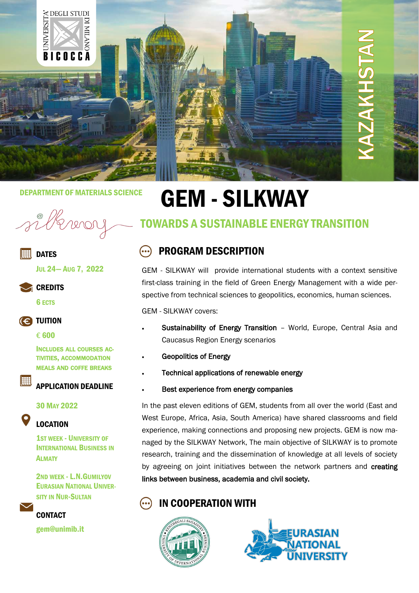

## **ER DATES**

JUL 24— AUG 7, 2022

**CREDITS** 

6 ECTS

## **(e) TUITION**

€ 600

lee

INCLUDES ALL COURSES AC-TIVITIES, ACCOMMODATION MEALS AND COFFE BREAKS

## APPLICATION DEADLINE

#### 30 MAY 2022

## LOCATION

1ST WEEK - UNIVERSITY OF INTERNATIONAL BUSINESS IN **ALMATY** 

2ND WEEK - L.N.GUMILYOV EURASIAN NATIONAL UNIVER-SITY IN NUR-SULTAN

**CONTACT** gem@unimib.it

# DEPARTMENT OF MATERIALS SCIENCE<br>
and the signal of the state of the state of the state of the state of the state of the state of the state of t<br>
and the state of the state of the state of the state of the state of the stat

## TOWARDS A SUSTAINABLE ENERGY TRANSITION

#### PROGRAM DESCRIPTION  $\left( ...\right)$

GEM - SILKWAY will provide international students with a context sensitive first-class training in the field of Green Energy Management with a wide perspective from technical sciences to geopolitics, economics, human sciences.

GEM - SILKWAY covers:

- Sustainability of Energy Transition World, Europe, Central Asia and Caucasus Region Energy scenarios
- Geopolitics of Energy
- Technical applications of renewable energy
- Best experience from energy companies

In the past eleven editions of GEM, students from all over the world (East and West Europe, Africa, Asia, South America) have shared classrooms and field experience, making connections and proposing new projects. GEM is now managed by the SILKWAY Network, The main objective of SILKWAY is to promote research, training and the dissemination of knowledge at all levels of society by agreeing on joint initiatives between the network partners and creating links between business, academia and civil society.

## IN COOPERATION WITH